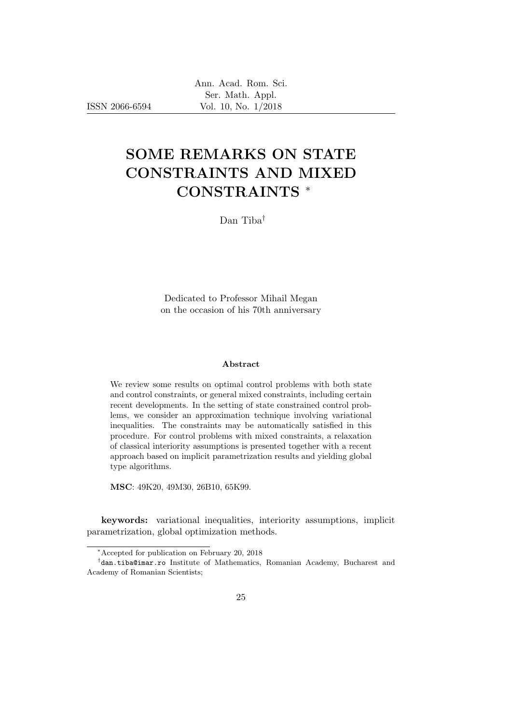ISSN 2066-6594

# SOME REMARKS ON STATE CONSTRAINTS AND MIXED CONSTRAINTS <sup>∗</sup>

Dan Tiba†

Dedicated to Professor Mihail Megan on the occasion of his 70th anniversary

#### Abstract

We review some results on optimal control problems with both state and control constraints, or general mixed constraints, including certain recent developments. In the setting of state constrained control problems, we consider an approximation technique involving variational inequalities. The constraints may be automatically satisfied in this procedure. For control problems with mixed constraints, a relaxation of classical interiority assumptions is presented together with a recent approach based on implicit parametrization results and yielding global type algorithms.

MSC: 49K20, 49M30, 26B10, 65K99.

keywords: variational inequalities, interiority assumptions, implicit parametrization, global optimization methods.

<sup>∗</sup>Accepted for publication on February 20, 2018

<sup>†</sup> dan.tiba@imar.ro Institute of Mathematics, Romanian Academy, Bucharest and Academy of Romanian Scientists;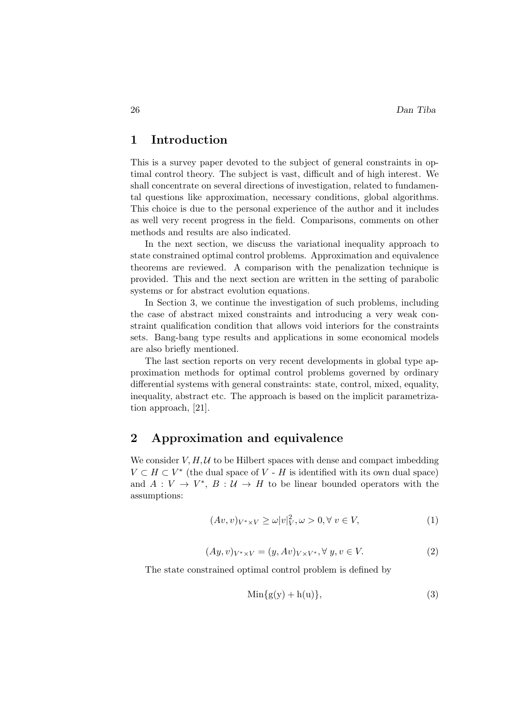## 1 Introduction

This is a survey paper devoted to the subject of general constraints in optimal control theory. The subject is vast, difficult and of high interest. We shall concentrate on several directions of investigation, related to fundamental questions like approximation, necessary conditions, global algorithms. This choice is due to the personal experience of the author and it includes as well very recent progress in the field. Comparisons, comments on other methods and results are also indicated.

In the next section, we discuss the variational inequality approach to state constrained optimal control problems. Approximation and equivalence theorems are reviewed. A comparison with the penalization technique is provided. This and the next section are written in the setting of parabolic systems or for abstract evolution equations.

In Section 3, we continue the investigation of such problems, including the case of abstract mixed constraints and introducing a very weak constraint qualification condition that allows void interiors for the constraints sets. Bang-bang type results and applications in some economical models are also briefly mentioned.

The last section reports on very recent developments in global type approximation methods for optimal control problems governed by ordinary differential systems with general constraints: state, control, mixed, equality, inequality, abstract etc. The approach is based on the implicit parametrization approach, [21].

## 2 Approximation and equivalence

We consider  $V, H, U$  to be Hilbert spaces with dense and compact imbedding  $V \subset H \subset V^*$  (the dual space of V - H is identified with its own dual space) and  $A: V \to V^*, B: U \to H$  to be linear bounded operators with the assumptions:

$$
(Av, v)_{V^* \times V} \ge \omega |v|_V^2, \omega > 0, \forall v \in V,
$$
\n<sup>(1)</sup>

$$
(Ay, v)_{V^* \times V} = (y, Av)_{V \times V^*}, \forall y, v \in V.
$$
\n
$$
(2)
$$

The state constrained optimal control problem is defined by

$$
Min{g(y) + h(u)},
$$
\n(3)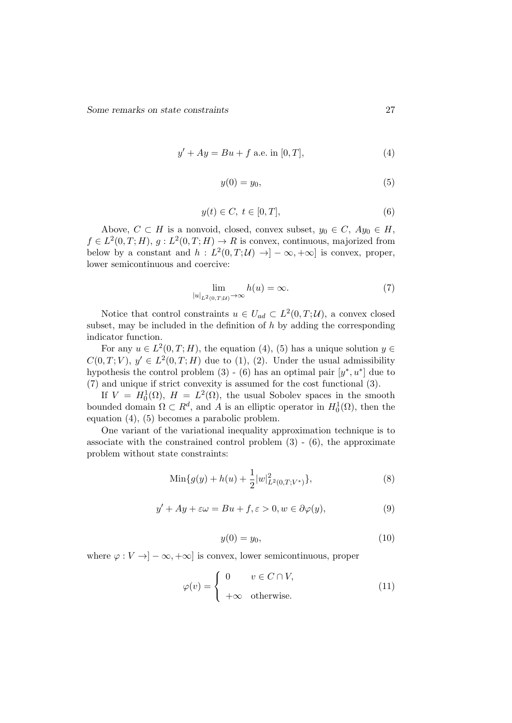$$
y' + Ay = Bu + f \text{ a.e. in } [0, T], \tag{4}
$$

$$
y(0) = y_0,\tag{5}
$$

$$
y(t) \in C, \ t \in [0, T], \tag{6}
$$

Above,  $C \subset H$  is a nonvoid, closed, convex subset,  $y_0 \in C$ ,  $Ay_0 \in H$ ,  $f \in L^2(0,T;H), g: L^2(0,T;H) \to R$  is convex, continuous, majorized from below by a constant and  $h: L^2(0,T;\mathcal{U}) \to ]-\infty, +\infty]$  is convex, proper, lower semicontinuous and coercive:

$$
\lim_{|u|_{L^2(0,T;\mathcal{U})}\to\infty} h(u) = \infty.
$$
 (7)

Notice that control constraints  $u \in U_{ad} \subset L^2(0,T;\mathcal{U})$ , a convex closed subset, may be included in the definition of  $h$  by adding the corresponding indicator function.

For any  $u \in L^2(0,T;H)$ , the equation (4), (5) has a unique solution  $y \in$  $C(0,T;V)$ ,  $y' \in L^2(0,T;H)$  due to (1), (2). Under the usual admissibility hypothesis the control problem  $(3)$  -  $(6)$  has an optimal pair  $[y^*, u^*]$  due to (7) and unique if strict convexity is assumed for the cost functional (3).

If  $V = H_0^1(\Omega)$ ,  $H = L^2(\Omega)$ , the usual Sobolev spaces in the smooth bounded domain  $\Omega \subset R^d$ , and A is an elliptic operator in  $H_0^1(\Omega)$ , then the equation (4), (5) becomes a parabolic problem.

One variant of the variational inequality approximation technique is to associate with the constrained control problem  $(3)$  -  $(6)$ , the approximate problem without state constraints:

Min{
$$
g(y) + h(u) + \frac{1}{2}|w|_{L^2(0,T;V^*)}^2
$$
}, (8)

$$
y' + Ay + \varepsilon \omega = Bu + f, \varepsilon > 0, w \in \partial \varphi(y), \tag{9}
$$

$$
y(0) = y_0,\tag{10}
$$

where  $\varphi: V \to ]-\infty, +\infty]$  is convex, lower semicontinuous, proper

$$
\varphi(v) = \begin{cases} 0 & v \in C \cap V, \\ +\infty & \text{otherwise.} \end{cases}
$$
 (11)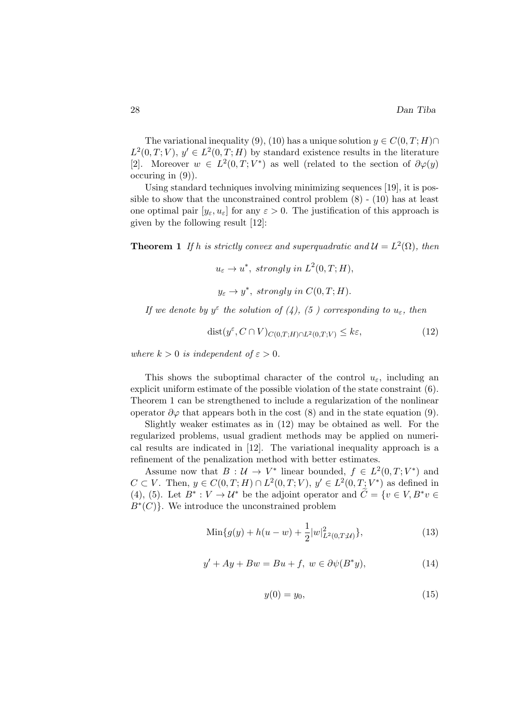The variational inequality (9), (10) has a unique solution  $y \in C(0, T; H) \cap$  $L^2(0,T;V), y' \in L^2(0,T;H)$  by standard existence results in the literature [2]. Moreover  $w \in L^2(0,T;V^*)$  as well (related to the section of  $\partial \varphi(y)$ ) occuring in (9)).

Using standard techniques involving minimizing sequences [19], it is possible to show that the unconstrained control problem  $(8)$  -  $(10)$  has at least one optimal pair  $[y_{\varepsilon}, u_{\varepsilon}]$  for any  $\varepsilon > 0$ . The justification of this approach is given by the following result [12]:

**Theorem 1** If h is strictly convex and superquadratic and  $\mathcal{U} = L^2(\Omega)$ , then

 $u_{\varepsilon} \to u^*, \text{ strongly in } L^2(0,T;H),$  $y_{\varepsilon} \to y^*$ , strongly in  $C(0,T;H)$ .

If we denote by  $y^{\varepsilon}$  the solution of (4), (5) corresponding to  $u_{\varepsilon}$ , then

$$
dist(y^{\varepsilon}, C \cap V)_{C(0,T;H) \cap L^2(0,T;V)} \le k\varepsilon,
$$
\n(12)

where  $k > 0$  is independent of  $\varepsilon > 0$ .

This shows the suboptimal character of the control  $u_{\varepsilon}$ , including an explicit uniform estimate of the possible violation of the state constraint (6). Theorem 1 can be strengthened to include a regularization of the nonlinear operator  $\partial \varphi$  that appears both in the cost (8) and in the state equation (9).

Slightly weaker estimates as in (12) may be obtained as well. For the regularized problems, usual gradient methods may be applied on numerical results are indicated in [12]. The variational inequality approach is a refinement of the penalization method with better estimates.

Assume now that  $B: \mathcal{U} \to V^*$  linear bounded,  $f \in L^2(0,T;V^*)$  and  $C \subset V$ . Then,  $y \in C(0,T;H) \cap L^2(0,T;V)$ ,  $y' \in L^2(0,T;V^*)$  as defined in (4), (5). Let  $B^* : V \to U^*$  be the adjoint operator and  $\widetilde{C} = \{v \in V, B^*v \in$  $B^*(C)$ . We introduce the unconstrained problem

$$
Min{g(y) + h(u - w) + \frac{1}{2}|w|_{L^{2}(0,T;\mathcal{U})}^{2}}\},
$$
\n(13)

$$
y' + Ay + Bw = Bu + f, w \in \partial \psi(B^*y), \tag{14}
$$

$$
y(0) = y_0,\tag{15}
$$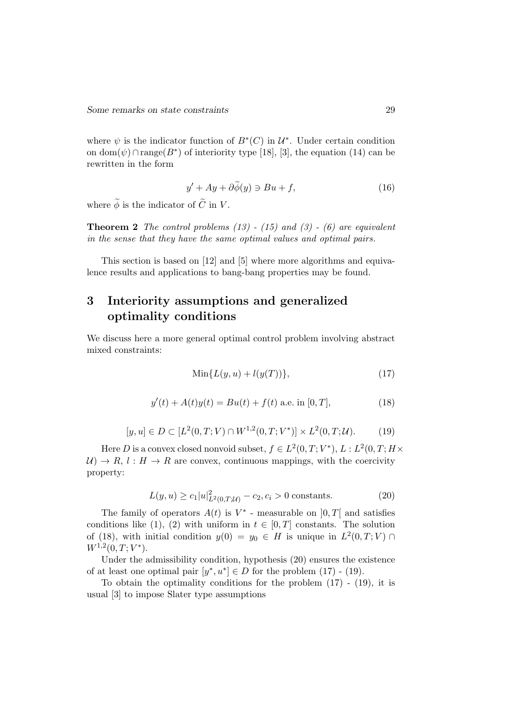where  $\psi$  is the indicator function of  $B^*(C)$  in  $\mathcal{U}^*$ . Under certain condition on dom( $\psi$ )∩range( $B^*$ ) of interiority type [18], [3], the equation (14) can be rewritten in the form

$$
y' + Ay + \partial \widetilde{\phi}(y) \ni Bu + f,\tag{16}
$$

where  $\tilde{\phi}$  is the indicator of  $\tilde{C}$  in V.

**Theorem 2** The control problems  $(13)$  -  $(15)$  and  $(3)$  -  $(6)$  are equivalent in the sense that they have the same optimal values and optimal pairs.

This section is based on [12] and [5] where more algorithms and equivalence results and applications to bang-bang properties may be found.

# 3 Interiority assumptions and generalized optimality conditions

We discuss here a more general optimal control problem involving abstract mixed constraints:

$$
Min{L(y, u) + l(y(T))},
$$
\n
$$
(17)
$$

$$
y'(t) + A(t)y(t) = Bu(t) + f(t) \text{ a.e. in } [0, T],
$$
\n(18)

$$
[y, u] \in D \subset [L^2(0, T; V) \cap W^{1,2}(0, T; V^*)] \times L^2(0, T; U). \tag{19}
$$

Here D is a convex closed nonvoid subset,  $f \in L^2(0,T;V^*)$ ,  $L: L^2(0,T;H\times$  $U \rightarrow R$ ,  $l : H \rightarrow R$  are convex, continuous mappings, with the coercivity property:

$$
L(y, u) \ge c_1 |u|_{L^2(0, T; \mathcal{U})}^2 - c_2, c_i > 0
$$
 constants. (20)

The family of operators  $A(t)$  is  $V^*$  - measurable on  $[0, T]$  and satisfies conditions like (1), (2) with uniform in  $t \in [0, T]$  constants. The solution of (18), with initial condition  $y(0) = y_0 \in H$  is unique in  $L^2(0,T;V) \cap$  $W^{1,2}(0,T;V^*)$ .

Under the admissibility condition, hypothesis (20) ensures the existence of at least one optimal pair  $[y^*, u^*] \in D$  for the problem (17) - (19).

To obtain the optimality conditions for the problem (17) - (19), it is usual [3] to impose Slater type assumptions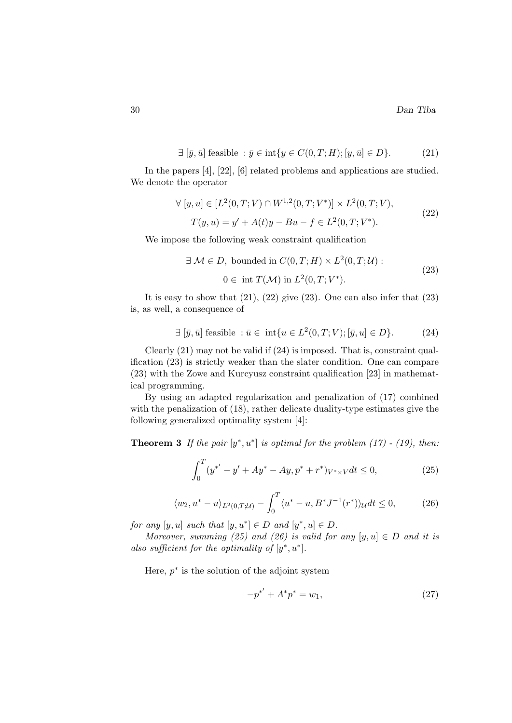$$
\exists [\bar{y}, \bar{u}] \text{ feasible} : \bar{y} \in \text{int}\{y \in C(0, T; H); [y, \bar{u}] \in D\}. \tag{21}
$$

In the papers [4], [22], [6] related problems and applications are studied. We denote the operator

$$
\forall [y, u] \in [L^2(0, T; V) \cap W^{1,2}(0, T; V^*)] \times L^2(0, T; V),
$$
  
\n
$$
T(y, u) = y' + A(t)y - Bu - f \in L^2(0, T; V^*).
$$
\n(22)

We impose the following weak constraint qualification

$$
\exists \mathcal{M} \in D, \text{ bounded in } C(0, T; H) \times L^2(0, T; \mathcal{U}):
$$
  
0 \in \text{int } T(\mathcal{M}) \text{ in } L^2(0, T; V^\*). \tag{23}

It is easy to show that  $(21)$ ,  $(22)$  give  $(23)$ . One can also infer that  $(23)$ is, as well, a consequence of

$$
\exists [\bar{y}, \bar{u}] \text{ feasible}: \bar{u} \in \text{ int}\{u \in L^2(0, T; V); [\bar{y}, u] \in D\}. \tag{24}
$$

Clearly (21) may not be valid if (24) is imposed. That is, constraint qualification (23) is strictly weaker than the slater condition. One can compare (23) with the Zowe and Kurcyusz constraint qualification [23] in mathematical programming.

By using an adapted regularization and penalization of (17) combined with the penalization of (18), rather delicate duality-type estimates give the following generalized optimality system [4]:

**Theorem 3** If the pair  $[y^*, u^*]$  is optimal for the problem (17) - (19), then:

$$
\int_0^T (y^{*'} - y' + Ay^* - Ay, p^* + r^*)_{V^* \times V} dt \le 0,
$$
\n(25)

$$
\langle w_2, u^* - u \rangle_{L^2(0,T;\mathcal{U})} - \int_0^T \langle u^* - u, B^* J^{-1}(r^*) \rangle_{\mathcal{U}} dt \le 0,
$$
 (26)

for any  $[y, u]$  such that  $[y, u^*] \in D$  and  $[y^*, u] \in D$ .

Moreover, summing (25) and (26) is valid for any  $[y, u] \in D$  and it is also sufficient for the optimality of  $[y^*, u^*]$ .

Here,  $p^*$  is the solution of the adjoint system

$$
-p^{*'} + A^*p^* = w_1,\t\t(27)
$$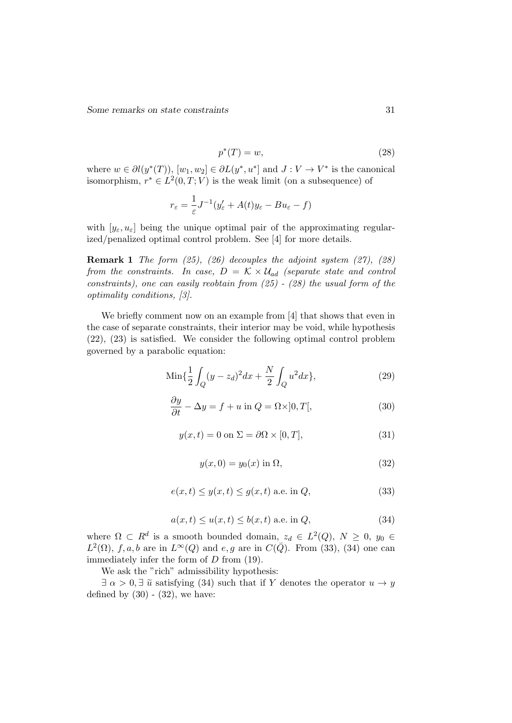Some remarks on state constraints 31

$$
p^*(T) = w,\t\t(28)
$$

where  $w \in \partial l(y^*(T))$ ,  $[w_1, w_2] \in \partial L(y^*, u^*]$  and  $J: V \to V^*$  is the canonical isomorphism,  $r^* \in L^2(0,T;V)$  is the weak limit (on a subsequence) of

$$
r_{\varepsilon} = \frac{1}{\varepsilon}J^{-1}(y_{\varepsilon}^{\prime} + A(t)y_{\varepsilon} - Bu_{\varepsilon} - f)
$$

with  $[y_{\varepsilon}, u_{\varepsilon}]$  being the unique optimal pair of the approximating regularized/penalized optimal control problem. See [4] for more details.

**Remark 1** The form  $(25)$ ,  $(26)$  decouples the adjoint system  $(27)$ ,  $(28)$ from the constraints. In case,  $D = \mathcal{K} \times \mathcal{U}_{ad}$  (separate state and control constraints), one can easily reobtain from  $(25)$  -  $(28)$  the usual form of the optimality conditions, [3].

We briefly comment now on an example from [4] that shows that even in the case of separate constraints, their interior may be void, while hypothesis (22), (23) is satisfied. We consider the following optimal control problem governed by a parabolic equation:

$$
\text{Min}\{\frac{1}{2}\int_{Q}(y-z_d)^2dx + \frac{N}{2}\int_{Q}u^2dx\},\tag{29}
$$

$$
\frac{\partial y}{\partial t} - \Delta y = f + u \text{ in } Q = \Omega \times ]0, T[, \qquad (30)
$$

$$
y(x,t) = 0 \text{ on } \Sigma = \partial\Omega \times [0,T],\tag{31}
$$

$$
y(x,0) = y_0(x) \text{ in } \Omega,
$$
\n(32)

$$
e(x,t) \le y(x,t) \le g(x,t) \text{ a.e. in } Q,
$$
\n(33)

$$
a(x,t) \le u(x,t) \le b(x,t) \text{ a.e. in } Q,
$$
\n(34)

where  $\Omega \subset R^d$  is a smooth bounded domain,  $z_d \in L^2(Q)$ ,  $N \geq 0$ ,  $y_0 \in$  $L^2(\Omega)$ , f, a, b are in  $L^{\infty}(Q)$  and e, g are in  $C(\overline{Q})$ . From (33), (34) one can immediately infer the form of D from  $(19)$ .

We ask the "rich" admissibility hypothesis:

 $\exists \alpha > 0, \exists \tilde{u}$  satisfying (34) such that if Y denotes the operator  $u \to y$ defined by  $(30)$  -  $(32)$ , we have: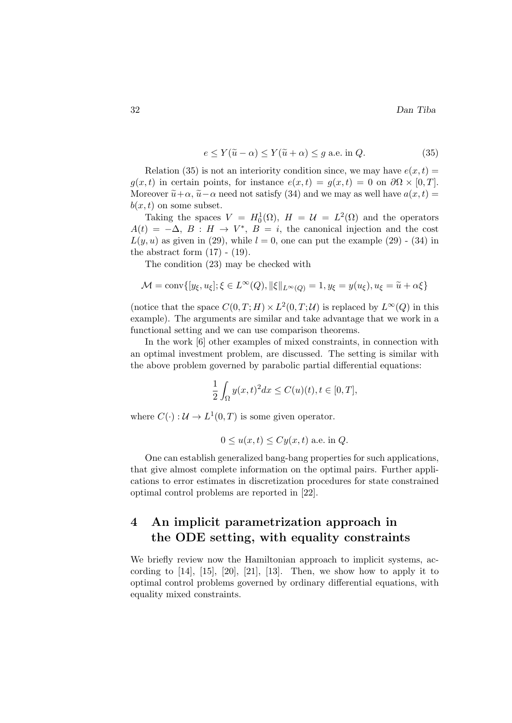$$
e \le Y(\tilde{u} - \alpha) \le Y(\tilde{u} + \alpha) \le g \text{ a.e. in } Q. \tag{35}
$$

Relation (35) is not an interiority condition since, we may have  $e(x, t)$  $g(x, t)$  in certain points, for instance  $e(x, t) = g(x, t) = 0$  on  $\partial\Omega \times [0, T]$ . Moreover  $\tilde{u}+\alpha$ ,  $\tilde{u}-\alpha$  need not satisfy (34) and we may as well have  $a(x, t)$  $b(x, t)$  on some subset.

Taking the spaces  $V = H_0^1(\Omega)$ ,  $H = \mathcal{U} = L^2(\Omega)$  and the operators  $A(t) = -\Delta, B : H \to V^*, B = i$ , the canonical injection and the cost  $L(y, u)$  as given in (29), while  $l = 0$ , one can put the example (29) - (34) in the abstract form  $(17)$  -  $(19)$ .

The condition (23) may be checked with

$$
\mathcal{M} = \text{conv}\{[y_{\xi}, u_{\xi}]; \xi \in L^{\infty}(Q), \|\xi\|_{L^{\infty}(Q)} = 1, y_{\xi} = y(u_{\xi}), u_{\xi} = \tilde{u} + \alpha \xi\}
$$

(notice that the space  $C(0,T;H) \times L^2(0,T;U)$  is replaced by  $L^{\infty}(Q)$  in this example). The arguments are similar and take advantage that we work in a functional setting and we can use comparison theorems.

In the work [6] other examples of mixed constraints, in connection with an optimal investment problem, are discussed. The setting is similar with the above problem governed by parabolic partial differential equations:

$$
\frac{1}{2} \int_{\Omega} y(x,t)^2 dx \le C(u)(t), t \in [0,T],
$$

where  $C(\cdot): \mathcal{U} \to L^1(0,T)$  is some given operator.

$$
0 \le u(x, t) \le Cy(x, t)
$$
 a.e. in Q.

One can establish generalized bang-bang properties for such applications, that give almost complete information on the optimal pairs. Further applications to error estimates in discretization procedures for state constrained optimal control problems are reported in [22].

# 4 An implicit parametrization approach in the ODE setting, with equality constraints

We briefly review now the Hamiltonian approach to implicit systems, according to  $[14]$ ,  $[15]$ ,  $[20]$ ,  $[21]$ ,  $[13]$ . Then, we show how to apply it to optimal control problems governed by ordinary differential equations, with equality mixed constraints.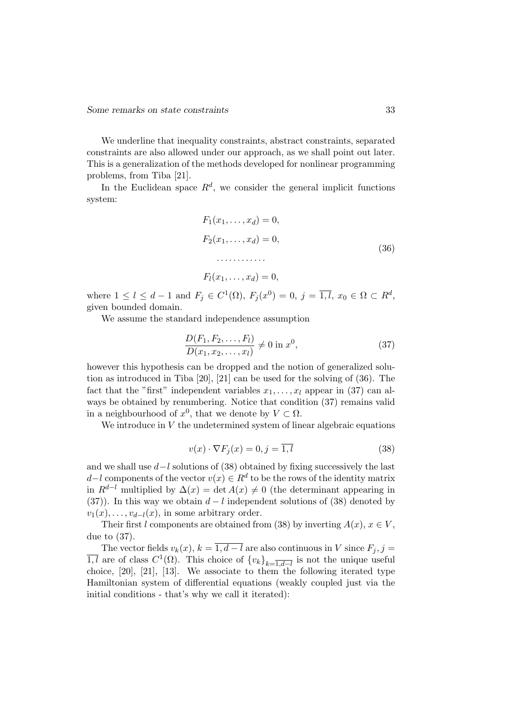We underline that inequality constraints, abstract constraints, separated constraints are also allowed under our approach, as we shall point out later. This is a generalization of the methods developed for nonlinear programming problems, from Tiba [21].

In the Euclidean space  $R^d$ , we consider the general implicit functions system:

$$
F_1(x_1, ..., x_d) = 0,
$$
  
\n
$$
F_2(x_1, ..., x_d) = 0,
$$
  
\n
$$
\vdots
$$
  
\n
$$
F_l(x_1, ..., x_d) = 0,
$$
  
\n(36)

where  $1 \leq l \leq d-1$  and  $F_j \in C^1(\Omega)$ ,  $F_j(x^0) = 0$ ,  $j = \overline{1,l}$ ,  $x_0 \in \Omega \subset R^d$ , given bounded domain.

We assume the standard independence assumption

$$
\frac{D(F_1, F_2, \dots, F_l)}{D(x_1, x_2, \dots, x_l)} \neq 0 \text{ in } x^0,
$$
\n(37)

however this hypothesis can be dropped and the notion of generalized solution as introduced in Tiba [20], [21] can be used for the solving of (36). The fact that the "first" independent variables  $x_1, \ldots, x_l$  appear in (37) can always be obtained by renumbering. Notice that condition (37) remains valid in a neighbourhood of  $x^0$ , that we denote by  $V \subset \Omega$ .

We introduce in  $V$  the undetermined system of linear algebraic equations

$$
v(x) \cdot \nabla F_j(x) = 0, j = \overline{1, l}
$$
\n(38)

and we shall use  $d-l$  solutions of (38) obtained by fixing successively the last  $d-l$  components of the vector  $v(x) \in R^d$  to be the rows of the identity matrix in  $R^{d-l}$  multiplied by  $\Delta(x) = \det A(x) \neq 0$  (the determinant appearing in (37)). In this way we obtain  $d - l$  independent solutions of (38) denoted by  $v_1(x), \ldots, v_{d-l}(x)$ , in some arbitrary order.

Their first l components are obtained from (38) by inverting  $A(x)$ ,  $x \in V$ , due to (37).

The vector fields  $v_k(x)$ ,  $k = \overline{1, d - l}$  are also continuous in V since  $F_j$ ,  $j =$  $\overline{1,l}$  are of class  $C^1(\Omega)$ . This choice of  $\{v_k\}_{k=\overline{1,d-l}}$  is not the unique useful choice, [20], [21], [13]. We associate to them the following iterated type Hamiltonian system of differential equations (weakly coupled just via the initial conditions - that's why we call it iterated):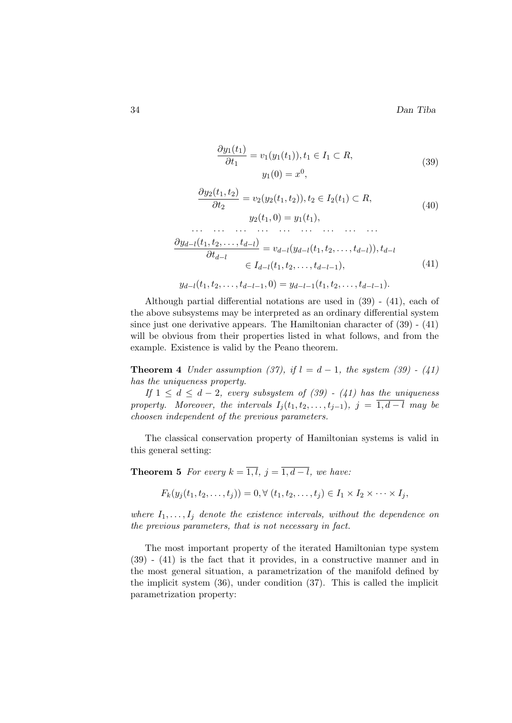$$
\frac{\partial y_1(t_1)}{\partial t_1} = v_1(y_1(t_1)), t_1 \in I_1 \subset R,
$$
  
\n
$$
y_1(0) = x^0,
$$
\n(39)

$$
\frac{\partial y_2(t_1, t_2)}{\partial t_2} = v_2(y_2(t_1, t_2)), t_2 \in I_2(t_1) \subset R,
$$
  

$$
y_2(t_1, 0) = y_1(t_1),
$$
 (40)

$$
\frac{\partial y_{d-l}(t_1, t_2, \dots, t_{d-l})}{\partial t_{d-l}} = v_{d-l}(y_{d-l}(t_1, t_2, \dots, t_{d-l})), t_{d-l}
$$
\n
$$
\in I_{d-l}(t_1, t_2, \dots, t_{d-l-1}),
$$
\n(41)

$$
y_{d-l}(t_1, t_2, \ldots, t_{d-l-1}, 0) = y_{d-l-1}(t_1, t_2, \ldots, t_{d-l-1}).
$$

Although partial differential notations are used in (39) - (41), each of the above subsystems may be interpreted as an ordinary differential system since just one derivative appears. The Hamiltonian character of  $(39)$  -  $(41)$ will be obvious from their properties listed in what follows, and from the example. Existence is valid by the Peano theorem.

**Theorem 4** Under assumption (37), if  $l = d - 1$ , the system (39) - (41) has the uniqueness property.

If  $1 \leq d \leq d-2$ , every subsystem of  $(39)$  -  $(41)$  has the uniqueness property. Moreover, the intervals  $I_j(t_1, t_2, \ldots, t_{j-1}), j = \overline{1, d-l}$  may be choosen independent of the previous parameters.

The classical conservation property of Hamiltonian systems is valid in this general setting:

**Theorem 5** For every  $k = \overline{1, l}, j = \overline{1, d-l}$ , we have:

$$
F_k(y_j(t_1, t_2, \ldots, t_j)) = 0, \forall (t_1, t_2, \ldots, t_j) \in I_1 \times I_2 \times \cdots \times I_j,
$$

where  $I_1, \ldots, I_j$  denote the existence intervals, without the dependence on the previous parameters, that is not necessary in fact.

The most important property of the iterated Hamiltonian type system (39) - (41) is the fact that it provides, in a constructive manner and in the most general situation, a parametrization of the manifold defined by the implicit system (36), under condition (37). This is called the implicit parametrization property: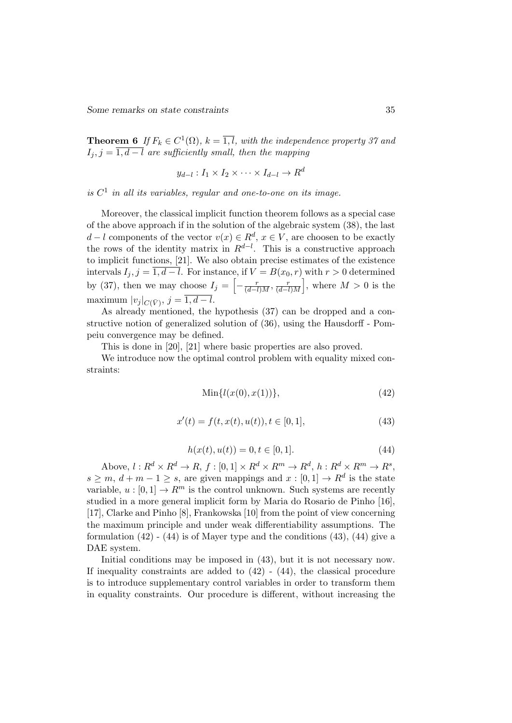Some remarks on state constraints 35

**Theorem 6** If  $F_k \in C^1(\Omega)$ ,  $k = \overline{1,l}$ , with the independence property 37 and  $I_j, j = \overline{1, d-l}$  are sufficiently small, then the mapping

$$
y_{d-l}: I_1 \times I_2 \times \cdots \times I_{d-l} \to R^d
$$

is  $C<sup>1</sup>$  in all its variables, regular and one-to-one on its image.

Moreover, the classical implicit function theorem follows as a special case of the above approach if in the solution of the algebraic system (38), the last  $d-l$  components of the vector  $v(x) \in R^d$ ,  $x \in V$ , are choosen to be exactly the rows of the identity matrix in  $R^{d-l}$ . This is a constructive approach to implicit functions, [21]. We also obtain precise estimates of the existence intervals  $I_j$ ,  $j = \overline{1, d-l}$ . For instance, if  $V = B(x_0, r)$  with  $r > 0$  determined by (37), then we may choose  $I_j = \left[ -\frac{r}{(d-l)M}, \frac{r}{(d-l)} \right]$  $\left(\frac{r}{(d-l)M}\right]$ , where  $M > 0$  is the maximum  $|v_j|_{C(\bar{V})}, j = 1, d - l.$ 

As already mentioned, the hypothesis (37) can be dropped and a constructive notion of generalized solution of (36), using the Hausdorff - Pompeiu convergence may be defined.

This is done in [20], [21] where basic properties are also proved.

We introduce now the optimal control problem with equality mixed constraints:

$$
Min{l(x(0), x(1))}, \t(42)
$$

$$
x'(t) = f(t, x(t), u(t)), t \in [0, 1],
$$
\n(43)

$$
h(x(t), u(t)) = 0, t \in [0, 1].
$$
\n(44)

Above,  $l: R^d \times R^d \to R$ ,  $f: [0,1] \times R^d \times R^m \to R^d$ ,  $h: R^d \times R^m \to R^s$ ,  $s \geq m, d+m-1 \geq s$ , are given mappings and  $x : [0,1] \to \mathbb{R}^d$  is the state variable,  $u : [0, 1] \to R^m$  is the control unknown. Such systems are recently studied in a more general implicit form by Maria do Rosario de Pinho [16], [17], Clarke and Pinho [8], Frankowska [10] from the point of view concerning the maximum principle and under weak differentiability assumptions. The formulation  $(42)$  -  $(44)$  is of Mayer type and the conditions  $(43)$ ,  $(44)$  give a DAE system.

Initial conditions may be imposed in (43), but it is not necessary now. If inequality constraints are added to  $(42)$  -  $(44)$ , the classical procedure is to introduce supplementary control variables in order to transform them in equality constraints. Our procedure is different, without increasing the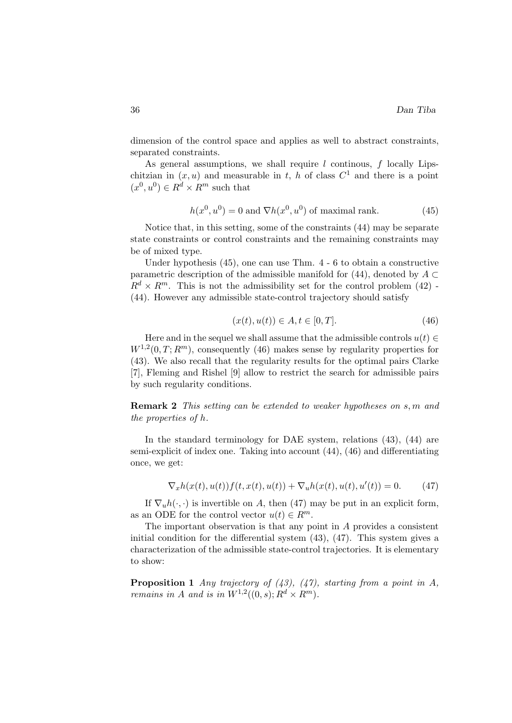dimension of the control space and applies as well to abstract constraints, separated constraints.

As general assumptions, we shall require  $l$  continuous,  $f$  locally Lipschitzian in  $(x, u)$  and measurable in t, h of class  $C<sup>1</sup>$  and there is a point  $(x^0, u^0) \in R^d \times R^m$  such that

$$
h(x^{0}, u^{0}) = 0
$$
 and  $\nabla h(x^{0}, u^{0})$  of maximal rank. (45)

Notice that, in this setting, some of the constraints (44) may be separate state constraints or control constraints and the remaining constraints may be of mixed type.

Under hypothesis (45), one can use Thm. 4 - 6 to obtain a constructive parametric description of the admissible manifold for  $(44)$ , denoted by  $A \subset$  $R^d \times R^m$ . This is not the admissibility set for the control problem (42) -(44). However any admissible state-control trajectory should satisfy

$$
(x(t), u(t)) \in A, t \in [0, T].
$$
\n(46)

Here and in the sequel we shall assume that the admissible controls  $u(t) \in$  $W^{1,2}(0,T;R^m)$ , consequently (46) makes sense by regularity properties for (43). We also recall that the regularity results for the optimal pairs Clarke [7], Fleming and Rishel [9] allow to restrict the search for admissible pairs by such regularity conditions.

Remark 2 This setting can be extended to weaker hypotheses on s, m and the properties of h.

In the standard terminology for DAE system, relations  $(43)$ ,  $(44)$  are semi-explicit of index one. Taking into account (44), (46) and differentiating once, we get:

$$
\nabla_x h(x(t), u(t)) f(t, x(t), u(t)) + \nabla_u h(x(t), u(t), u'(t)) = 0.
$$
 (47)

If  $\nabla_u h(\cdot, \cdot)$  is invertible on A, then (47) may be put in an explicit form, as an ODE for the control vector  $u(t) \in R^m$ .

The important observation is that any point in A provides a consistent initial condition for the differential system (43), (47). This system gives a characterization of the admissible state-control trajectories. It is elementary to show:

**Proposition 1** Any trajectory of  $(43)$ ,  $(47)$ , starting from a point in A, remains in A and is in  $W^{1,2}((0, s); R^d \times R^m)$ .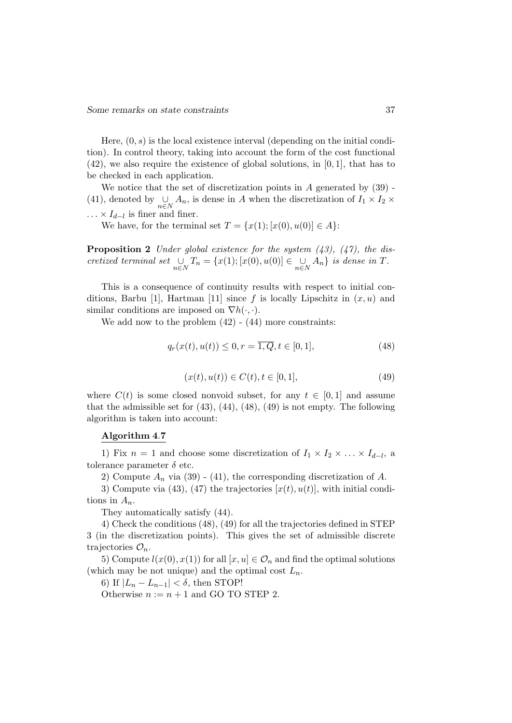Here,  $(0, s)$  is the local existence interval (depending on the initial condition). In control theory, taking into account the form of the cost functional  $(42)$ , we also require the existence of global solutions, in  $[0,1]$ , that has to be checked in each application.

We notice that the set of discretization points in  $A$  generated by  $(39)$ . (41), denoted by  $\bigcup_{n\in\mathbb{N}} A_n$ , is dense in A when the discretization of  $I_1 \times I_2 \times$  $\ldots \times I_{d-l}$  is finer and finer.

We have, for the terminal set  $T = \{x(1); [x(0), u(0)] \in A\}$ :

**Proposition 2** Under global existence for the system  $(43)$ ,  $(47)$ , the discretized terminal set  $\bigcup_{n\in N}T_n = \{x(1); [x(0), u(0)] \in \bigcup_{n\in N}A_n\}$  is dense in T.

This is a consequence of continuity results with respect to initial conditions, Barbu [1], Hartman [11] since f is locally Lipschitz in  $(x, u)$  and similar conditions are imposed on  $\nabla h(\cdot, \cdot)$ .

We add now to the problem  $(42)$  -  $(44)$  more constraints:

$$
q_r(x(t), u(t)) \le 0, r = \overline{1, Q}, t \in [0, 1],
$$
\n(48)

$$
(x(t), u(t)) \in C(t), t \in [0, 1],
$$
\n(49)

where  $C(t)$  is some closed nonvoid subset, for any  $t \in [0,1]$  and assume that the admissible set for  $(43)$ ,  $(44)$ ,  $(48)$ ,  $(49)$  is not empty. The following algorithm is taken into account:

#### Algorithm 4.7

1) Fix  $n = 1$  and choose some discretization of  $I_1 \times I_2 \times \ldots \times I_{d-l}$ , a tolerance parameter  $\delta$  etc.

2) Compute  $A_n$  via (39) - (41), the corresponding discretization of A.

3) Compute via (43), (47) the trajectories  $[x(t), u(t)]$ , with initial conditions in  $A_n$ .

They automatically satisfy (44).

4) Check the conditions (48), (49) for all the trajectories defined in STEP 3 (in the discretization points). This gives the set of admissible discrete trajectories  $\mathcal{O}_n$ .

5) Compute  $l(x(0), x(1))$  for all  $[x, u] \in \mathcal{O}_n$  and find the optimal solutions (which may be not unique) and the optimal cost  $L_n$ .

6) If  $|L_n - L_{n-1}| < \delta$ , then STOP!

Otherwise  $n := n + 1$  and GO TO STEP 2.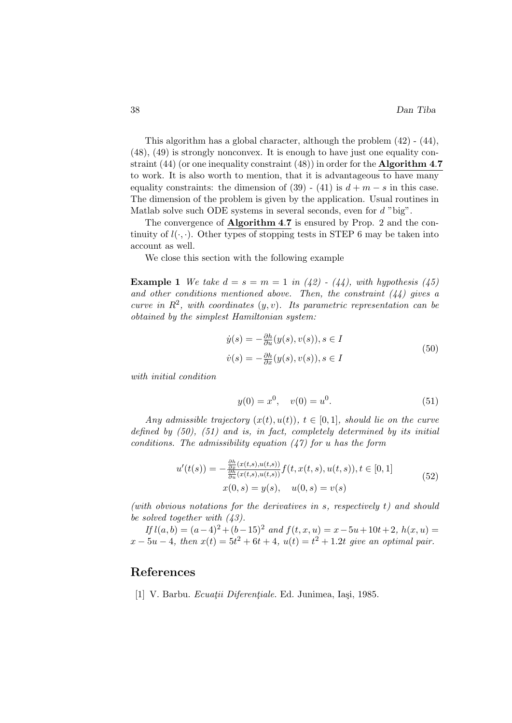This algorithm has a global character, although the problem (42) - (44), (48), (49) is strongly nonconvex. It is enough to have just one equality constraint (44) (or one inequality constraint (48)) in order for the **Algorithm 4.7** to work. It is also worth to mention, that it is advantageous to have many equality constraints: the dimension of  $(39)$  -  $(41)$  is  $d + m - s$  in this case. The dimension of the problem is given by the application. Usual routines in Matlab solve such ODE systems in several seconds, even for  $d$  "big".

The convergence of Algorithm 4.7 is ensured by Prop. 2 and the continuity of  $l(\cdot, \cdot)$ . Other types of stopping tests in STEP 6 may be taken into account as well.

We close this section with the following example

**Example 1** We take  $d = s = m = 1$  in (42) - (44), with hypothesis (45) and other conditions mentioned above. Then, the constraint  $(44)$  gives a curve in  $R^2$ , with coordinates  $(y, v)$ . Its parametric representation can be obtained by the simplest Hamiltonian system:

$$
\dot{y}(s) = -\frac{\partial h}{\partial u}(y(s), v(s)), s \in I
$$
  

$$
\dot{v}(s) = -\frac{\partial h}{\partial x}(y(s), v(s)), s \in I
$$
\n(50)

with initial condition

$$
y(0) = x^0, \quad v(0) = u^0.
$$
\n(51)

Any admissible trajectory  $(x(t), u(t))$ ,  $t \in [0, 1]$ , should lie on the curve defined by  $(50)$ ,  $(51)$  and is, in fact, completely determined by its initial conditions. The admissibility equation  $(47)$  for u has the form

$$
u'(t(s)) = -\frac{\frac{\partial h}{\partial x}(x(t,s), u(t,s))}{\frac{\partial h}{\partial u}(x(t,s), u(t,s))} f(t, x(t,s), u(t,s)), t \in [0, 1]
$$
  

$$
x(0,s) = y(s), \quad u(0,s) = v(s)
$$
 (52)

(with obvious notations for the derivatives in s, respectively t) and should be solved together with  $(43)$ .

If  $l(a, b) = (a-4)^2 + (b-15)^2$  and  $f(t, x, u) = x - 5u + 10t + 2$ ,  $h(x, u) =$  $x - 5u - 4$ , then  $x(t) = 5t^2 + 6t + 4$ ,  $u(t) = t^2 + 1.2t$  give an optimal pair.

### References

[1] V. Barbu. *Ecuații Diferențiale*. Ed. Junimea, Iași, 1985.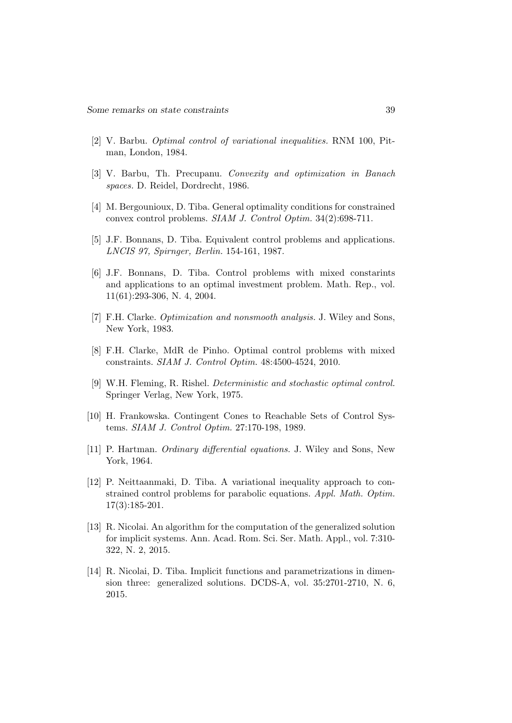- [2] V. Barbu. Optimal control of variational inequalities. RNM 100, Pitman, London, 1984.
- [3] V. Barbu, Th. Precupanu. Convexity and optimization in Banach spaces. D. Reidel, Dordrecht, 1986.
- [4] M. Bergounioux, D. Tiba. General optimality conditions for constrained convex control problems. SIAM J. Control Optim. 34(2):698-711.
- [5] J.F. Bonnans, D. Tiba. Equivalent control problems and applications. LNCIS 97, Spirnger, Berlin. 154-161, 1987.
- [6] J.F. Bonnans, D. Tiba. Control problems with mixed constarints and applications to an optimal investment problem. Math. Rep., vol. 11(61):293-306, N. 4, 2004.
- [7] F.H. Clarke. Optimization and nonsmooth analysis. J. Wiley and Sons, New York, 1983.
- [8] F.H. Clarke, MdR de Pinho. Optimal control problems with mixed constraints. SIAM J. Control Optim. 48:4500-4524, 2010.
- [9] W.H. Fleming, R. Rishel. Deterministic and stochastic optimal control. Springer Verlag, New York, 1975.
- [10] H. Frankowska. Contingent Cones to Reachable Sets of Control Systems. SIAM J. Control Optim. 27:170-198, 1989.
- [11] P. Hartman. Ordinary differential equations. J. Wiley and Sons, New York, 1964.
- [12] P. Neittaanmaki, D. Tiba. A variational inequality approach to constrained control problems for parabolic equations. Appl. Math. Optim. 17(3):185-201.
- [13] R. Nicolai. An algorithm for the computation of the generalized solution for implicit systems. Ann. Acad. Rom. Sci. Ser. Math. Appl., vol. 7:310- 322, N. 2, 2015.
- [14] R. Nicolai, D. Tiba. Implicit functions and parametrizations in dimension three: generalized solutions. DCDS-A, vol. 35:2701-2710, N. 6, 2015.